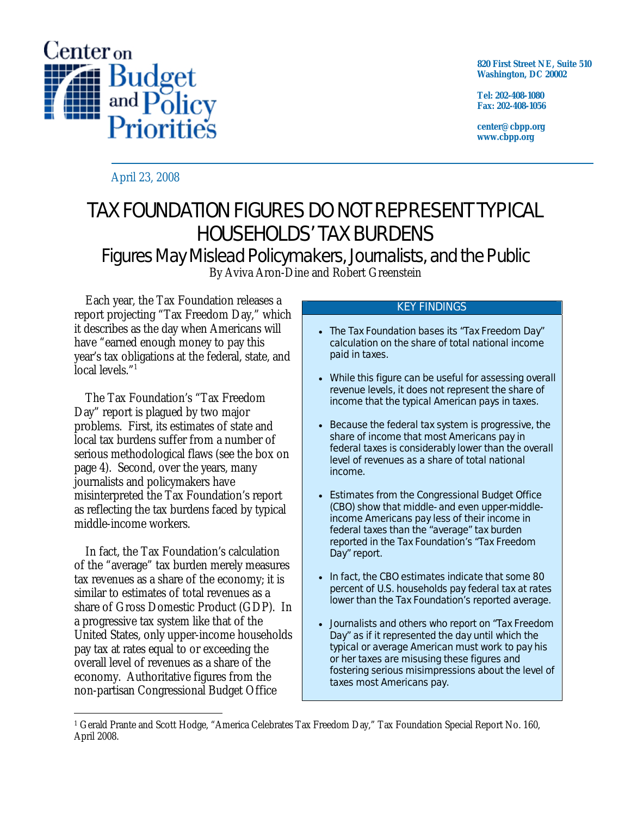

**820 First Street NE, Suite 510 Washington, DC 20002** 

**Tel: 202-408-1080 Fax: 202-408-1056** 

**center@cbpp.org www.cbpp.org** 

April 23, 2008

# TAX FOUNDATION FIGURES DO NOT REPRESENT TYPICAL HOUSEHOLDS' TAX BURDENS

Figures May Mislead Policymakers, Journalists, and the Public By Aviva Aron-Dine and Robert Greenstein

 Each year, the Tax Foundation releases a report projecting "Tax Freedom Day," which it describes as the day when Americans will have "earned enough money to pay this year's tax obligations at the federal, state, and local levels."1

 The Tax Foundation's "Tax Freedom Day" report is plagued by two major problems. First, its estimates of state and local tax burdens suffer from a number of serious methodological flaws (see the box on page 4). Second, over the years, many journalists and policymakers have misinterpreted the Tax Foundation's report as reflecting the tax burdens faced by typical middle-income workers.

 In fact, the Tax Foundation's calculation of the "average" tax burden merely measures tax revenues as a share of the economy; it is similar to estimates of total revenues as a share of Gross Domestic Product (GDP). In a progressive tax system like that of the United States, only upper-income households pay tax at rates equal to or exceeding the overall level of revenues as a share of the economy. Authoritative figures from the non-partisan Congressional Budget Office

# KEY FINDINGS

- The Tax Foundation bases its "Tax Freedom Day" calculation on the share of total national income paid in taxes.
- While this figure can be useful for assessing overall revenue levels, it does not represent the share of income that the typical American pays in taxes.
- Because the federal tax system is progressive, the share of income that most Americans pay in federal taxes is considerably lower than the overall level of revenues as a share of total national income.
- Estimates from the Congressional Budget Office (CBO) show that middle- and even upper-middleincome Americans pay less of their income in federal taxes than the "average" tax burden reported in the Tax Foundation's "Tax Freedom Day" report.
- In fact, the CBO estimates indicate that some 80 percent of U.S. households pay federal tax at rates lower than the Tax Foundation's reported average.
- Journalists and others who report on "Tax Freedom Day" as if it represented the day until which the typical or average American must work to pay his or her taxes are misusing these figures and fostering serious misimpressions about the level of taxes most Americans pay.

<sup>-</sup>1 Gerald Prante and Scott Hodge, "America Celebrates Tax Freedom Day," Tax Foundation Special Report No. 160, April 2008.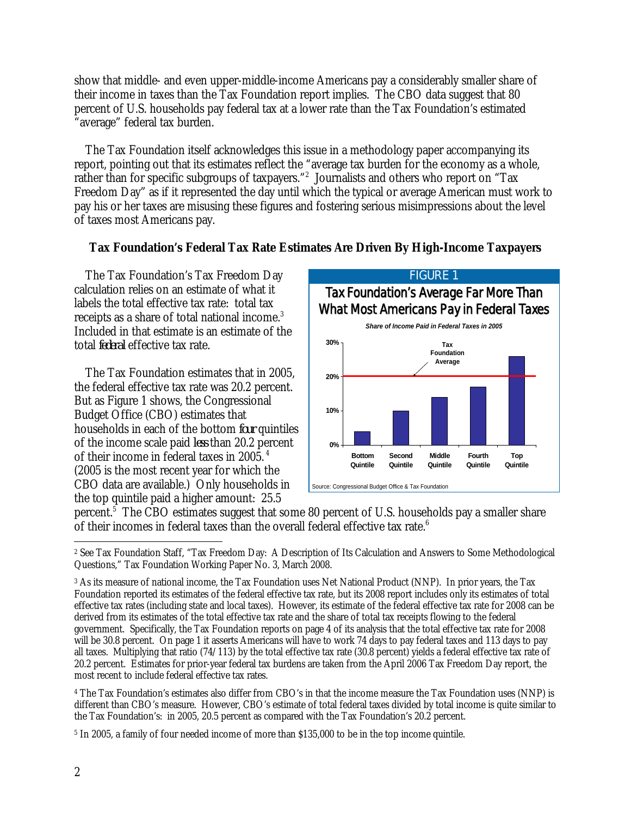show that middle- and even upper-middle-income Americans pay a considerably smaller share of their income in taxes than the Tax Foundation report implies. The CBO data suggest that 80 percent of U.S. households pay federal tax at a lower rate than the Tax Foundation's estimated "average" federal tax burden.

 The Tax Foundation itself acknowledges this issue in a methodology paper accompanying its report, pointing out that its estimates reflect the "average tax burden for the economy as a whole, rather than for specific subgroups of taxpayers."<sup>2</sup> Journalists and others who report on "Tax Freedom Day" as if it represented the day until which the typical or average American must work to pay his or her taxes are misusing these figures and fostering serious misimpressions about the level of taxes most Americans pay.

# **Tax Foundation's Federal Tax Rate Estimates Are Driven By High-Income Taxpayers**

 The Tax Foundation's Tax Freedom Day calculation relies on an estimate of what it labels the total effective tax rate: total tax receipts as a share of total national income. $^3$ Included in that estimate is an estimate of the total *federal* effective tax rate.

 The Tax Foundation estimates that in 2005, the federal effective tax rate was 20.2 percent. But as Figure 1 shows, the Congressional Budget Office (CBO) estimates that households in each of the bottom *four* quintiles of the income scale paid *less* than 20.2 percent of their income in federal taxes in 2005. 4 (2005 is the most recent year for which the CBO data are available.) Only households in the top quintile paid a higher amount: 25.5



percent.<sup>5</sup> The CBO estimates suggest that some 80 percent of U.S. households pay a smaller share of their incomes in federal taxes than the overall federal effective tax rate. $^6$ 

4 The Tax Foundation's estimates also differ from CBO's in that the income measure the Tax Foundation uses (NNP) is different than CBO's measure. However, CBO's estimate of total federal taxes divided by total income is quite similar to the Tax Foundation's: in 2005, 20.5 percent as compared with the Tax Foundation's 20.2 percent.

5 In 2005, a family of four needed income of more than \$135,000 to be in the top income quintile.

 $\overline{a}$ 2 See Tax Foundation Staff, "Tax Freedom Day: A Description of Its Calculation and Answers to Some Methodological Questions," Tax Foundation Working Paper No. 3, March 2008.

<sup>3</sup> As its measure of national income, the Tax Foundation uses Net National Product (NNP). In prior years, the Tax Foundation reported its estimates of the federal effective tax rate, but its 2008 report includes only its estimates of total effective tax rates (including state and local taxes). However, its estimate of the federal effective tax rate for 2008 can be derived from its estimates of the total effective tax rate and the share of total tax receipts flowing to the federal government. Specifically, the Tax Foundation reports on page 4 of its analysis that the total effective tax rate for 2008 will be 30.8 percent. On page 1 it asserts Americans will have to work 74 days to pay federal taxes and 113 days to pay all taxes. Multiplying that ratio (74/113) by the total effective tax rate (30.8 percent) yields a federal effective tax rate of 20.2 percent. Estimates for prior-year federal tax burdens are taken from the April 2006 Tax Freedom Day report, the most recent to include federal effective tax rates.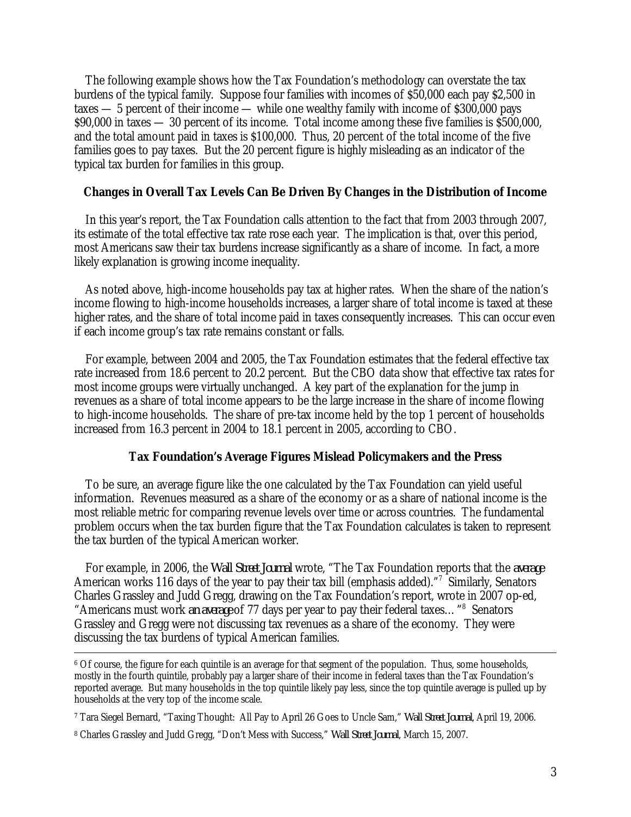The following example shows how the Tax Foundation's methodology can overstate the tax burdens of the typical family. Suppose four families with incomes of \$50,000 each pay \$2,500 in taxes — 5 percent of their income — while one wealthy family with income of \$300,000 pays \$90,000 in taxes — 30 percent of its income. Total income among these five families is \$500,000, and the total amount paid in taxes is \$100,000. Thus, 20 percent of the total income of the five families goes to pay taxes. But the 20 percent figure is highly misleading as an indicator of the typical tax burden for families in this group.

## **Changes in Overall Tax Levels Can Be Driven By Changes in the Distribution of Income**

 In this year's report, the Tax Foundation calls attention to the fact that from 2003 through 2007, its estimate of the total effective tax rate rose each year. The implication is that, over this period, most Americans saw their tax burdens increase significantly as a share of income. In fact, a more likely explanation is growing income inequality.

 As noted above, high-income households pay tax at higher rates. When the share of the nation's income flowing to high-income households increases, a larger share of total income is taxed at these higher rates, and the share of total income paid in taxes consequently increases. This can occur even if each income group's tax rate remains constant or falls.

 For example, between 2004 and 2005, the Tax Foundation estimates that the federal effective tax rate increased from 18.6 percent to 20.2 percent. But the CBO data show that effective tax rates for most income groups were virtually unchanged. A key part of the explanation for the jump in revenues as a share of total income appears to be the large increase in the share of income flowing to high-income households. The share of pre-tax income held by the top 1 percent of households increased from 16.3 percent in 2004 to 18.1 percent in 2005, according to CBO.

### **Tax Foundation's Average Figures Mislead Policymakers and the Press**

To be sure, an average figure like the one calculated by the Tax Foundation can yield useful information. Revenues measured as a share of the economy or as a share of national income is the most reliable metric for comparing revenue levels over time or across countries. The fundamental problem occurs when the tax burden figure that the Tax Foundation calculates is taken to represent the tax burden of the typical American worker.

 For example, in 2006, the *Wall Street Journal* wrote, "The Tax Foundation reports that the *average* American works 116 days of the year to pay their tax bill (emphasis added)."<sup>7</sup> Similarly, Senators Charles Grassley and Judd Gregg, drawing on the Tax Foundation's report, wrote in 2007 op-ed, "Americans must work *an average* of 77 days per year to pay their federal taxes..."<sup>8</sup> Senators Grassley and Gregg were not discussing tax revenues as a share of the economy. They were discussing the tax burdens of typical American families.

 <sup>6</sup> Of course, the figure for each quintile is an average for that segment of the population. Thus, some households, mostly in the fourth quintile, probably pay a larger share of their income in federal taxes than the Tax Foundation's reported average. But many households in the top quintile likely pay less, since the top quintile average is pulled up by households at the very top of the income scale.

<sup>7</sup> Tara Siegel Bernard, "Taxing Thought: All Pay to April 26 Goes to Uncle Sam," *Wall Street Journal*, April 19, 2006.

<sup>8</sup> Charles Grassley and Judd Gregg, "Don't Mess with Success," *Wall Street Journal*, March 15, 2007.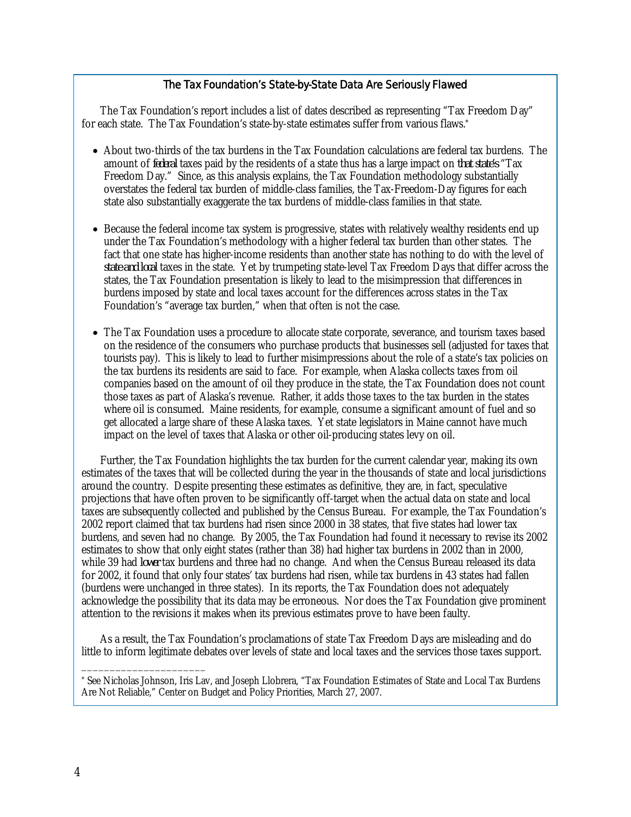#### The Tax Foundation's State-by-State Data Are Seriously Flawed

The Tax Foundation's report includes a list of dates described as representing "Tax Freedom Day" for each state. The Tax Foundation's state-by-state estimates suffer from various flaws.\*

- About two-thirds of the tax burdens in the Tax Foundation calculations are federal tax burdens. The amount of *federal* taxes paid by the residents of a state thus has a large impact on *that state's* "Tax Freedom Day." Since, as this analysis explains, the Tax Foundation methodology substantially overstates the federal tax burden of middle-class families, the Tax-Freedom-Day figures for each state also substantially exaggerate the tax burdens of middle-class families in that state.
- Because the federal income tax system is progressive, states with relatively wealthy residents end up under the Tax Foundation's methodology with a higher federal tax burden than other states. The fact that one state has higher-income residents than another state has nothing to do with the level of *state and local* taxes in the state. Yet by trumpeting state-level Tax Freedom Days that differ across the states, the Tax Foundation presentation is likely to lead to the misimpression that differences in burdens imposed by state and local taxes account for the differences across states in the Tax Foundation's "average tax burden," when that often is not the case.
- The Tax Foundation uses a procedure to allocate state corporate, severance, and tourism taxes based on the residence of the consumers who purchase products that businesses sell (adjusted for taxes that tourists pay). This is likely to lead to further misimpressions about the role of a state's tax policies on the tax burdens its residents are said to face. For example, when Alaska collects taxes from oil companies based on the amount of oil they produce in the state, the Tax Foundation does not count those taxes as part of Alaska's revenue. Rather, it adds those taxes to the tax burden in the states where oil is consumed. Maine residents, for example, consume a significant amount of fuel and so get allocated a large share of these Alaska taxes. Yet state legislators in Maine cannot have much impact on the level of taxes that Alaska or other oil-producing states levy on oil.

Further, the Tax Foundation highlights the tax burden for the current calendar year, making its own estimates of the taxes that will be collected during the year in the thousands of state and local jurisdictions around the country. Despite presenting these estimates as definitive, they are, in fact, speculative projections that have often proven to be significantly off-target when the actual data on state and local taxes are subsequently collected and published by the Census Bureau. For example, the Tax Foundation's 2002 report claimed that tax burdens had risen since 2000 in 38 states, that five states had lower tax burdens, and seven had no change. By 2005, the Tax Foundation had found it necessary to revise its 2002 estimates to show that only eight states (rather than 38) had higher tax burdens in 2002 than in 2000, while 39 had *lower* tax burdens and three had no change. And when the Census Bureau released its data for 2002, it found that only four states' tax burdens had risen, while tax burdens in 43 states had fallen (burdens were unchanged in three states). In its reports, the Tax Foundation does not adequately acknowledge the possibility that its data may be erroneous. Nor does the Tax Foundation give prominent attention to the revisions it makes when its previous estimates prove to have been faulty.

As a result, the Tax Foundation's proclamations of state Tax Freedom Days are misleading and do little to inform legitimate debates over levels of state and local taxes and the services those taxes support.

\_\_\_\_\_\_\_\_\_\_\_\_\_\_\_\_\_\_\_\_\_\_

<sup>\*</sup> See Nicholas Johnson, Iris Lav, and Joseph Llobrera, "Tax Foundation Estimates of State and Local Tax Burdens Are Not Reliable," Center on Budget and Policy Priorities, March 27, 2007.